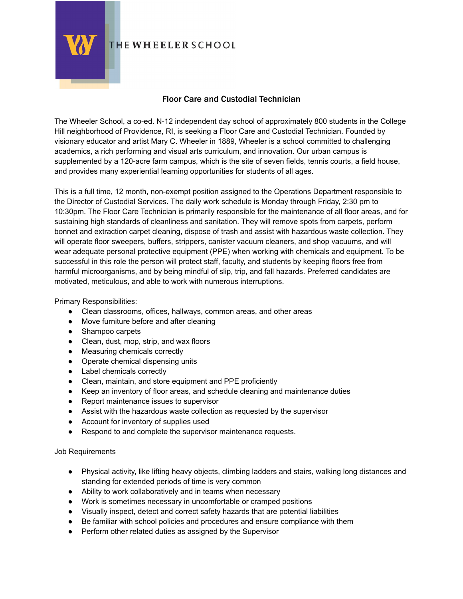

## **THE WHEELER SCHOOL**

## Floor Care and Custodial Technician

The Wheeler School, a co-ed. N-12 independent day school of approximately 800 students in the College Hill neighborhood of Providence, RI, is seeking a Floor Care and Custodial Technician. Founded by visionary educator and artist Mary C. Wheeler in 1889, Wheeler is a school committed to challenging academics, a rich performing and visual arts curriculum, and innovation. Our urban campus is supplemented by a 120-acre farm campus, which is the site of seven fields, tennis courts, a field house, and provides many experiential learning opportunities for students of all ages.

This is a full time, 12 month, non-exempt position assigned to the Operations Department responsible to the Director of Custodial Services. The daily work schedule is Monday through Friday, 2:30 pm to 10:30pm. The Floor Care Technician is primarily responsible for the maintenance of all floor areas, and for sustaining high standards of cleanliness and sanitation. They will remove spots from carpets, perform bonnet and extraction carpet cleaning, dispose of trash and assist with hazardous waste collection. They will operate floor sweepers, buffers, strippers, canister vacuum cleaners, and shop vacuums, and will wear adequate personal protective equipment (PPE) when working with chemicals and equipment. To be successful in this role the person will protect staff, faculty, and students by keeping floors free from harmful microorganisms, and by being mindful of slip, trip, and fall hazards. Preferred candidates are motivated, meticulous, and able to work with numerous interruptions.

Primary Responsibilities:

- Clean classrooms, offices, hallways, common areas, and other areas
- Move furniture before and after cleaning
- Shampoo carpets
- Clean, dust, mop, strip, and wax floors
- Measuring chemicals correctly
- Operate chemical dispensing units
- Label chemicals correctly
- Clean, maintain, and store equipment and PPE proficiently
- Keep an inventory of floor areas, and schedule cleaning and maintenance duties
- Report maintenance issues to supervisor
- Assist with the hazardous waste collection as requested by the supervisor
- Account for inventory of supplies used
- Respond to and complete the supervisor maintenance requests.

Job Requirements

- Physical activity, like lifting heavy objects, climbing ladders and stairs, walking long distances and standing for extended periods of time is very common
- Ability to work collaboratively and in teams when necessary
- Work is sometimes necessary in uncomfortable or cramped positions
- Visually inspect, detect and correct safety hazards that are potential liabilities
- Be familiar with school policies and procedures and ensure compliance with them
- Perform other related duties as assigned by the Supervisor